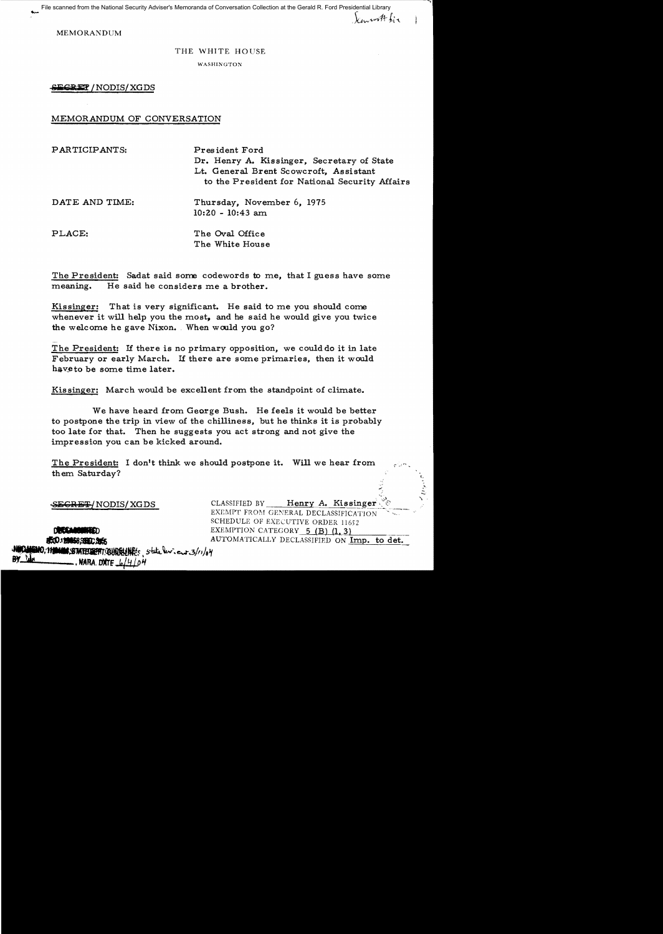File<br>-<br>-File scanned from the National Security Adviser's Memoranda of Conversation Collection at the Gerald R. Ford Presidential Library

MEMORANDUM

## THE WHITE HOUSE

 $\chi_{\mu\nu}$  with his

WASHINGTON

SEGRET / NODIS/XGDS

## MEMORANDUM OF CONVERSATION

| PARTICIPANTS:  | President Ford<br>Dr. Henry A. Kissinger, Secretary of State<br>Lt. General Brent Scowcroft, Assistant<br>to the President for National Security Affairs |
|----------------|----------------------------------------------------------------------------------------------------------------------------------------------------------|
| DATE AND TIME: | Thursday, November 6, 1975<br>$10:20 - 10:43$ am                                                                                                         |
| PLACE:         | The Oval Office<br>The White House                                                                                                                       |

The President: Sadat said some codewords to me, that I guess have some meaning. He said he considers me a brother.

Kissinger: That is very significant. He said to me you should come whenever it will help you the most, and he said he would give you twice the welcome he gave Nixon. When would you go?

The President: If there is no primary opposition, we could do it in late February or early March. If there are some primaries, then it would have to be some time later.

Kissinger: March would be excellent from the standpoint of climate.

We have heard from George Bush. He feels it would be better to postpone the trip in view of the chilliness, but he thinks it is probably too late for that. Then he suggests you act strong and not give the impression you can be kicked around.

The President: I don't think we should postpone it. Will we hear from them Saturday?

**EECRET/NODIS/XGDS** CLASSIFIED BY Henry A. Kissinger EXEMPT FROM GENERAL DECLASSIFICATION SCHEDULE OF EXECUTIVE ORDER 11652 **•• " INCOLUMERATION CATEGORY 5 (B) (1, 3) 1.5)**<br> **16:0:12:05:2006: 1.1.2.** AUTOMATICALLY DECLASSIFIED ON Imp. to det.

:!,fO"'''ftlSll!tfT~fWl~. '>~~··~..3II'/o¥ **-----.**NARA. **OOf** f4~/()~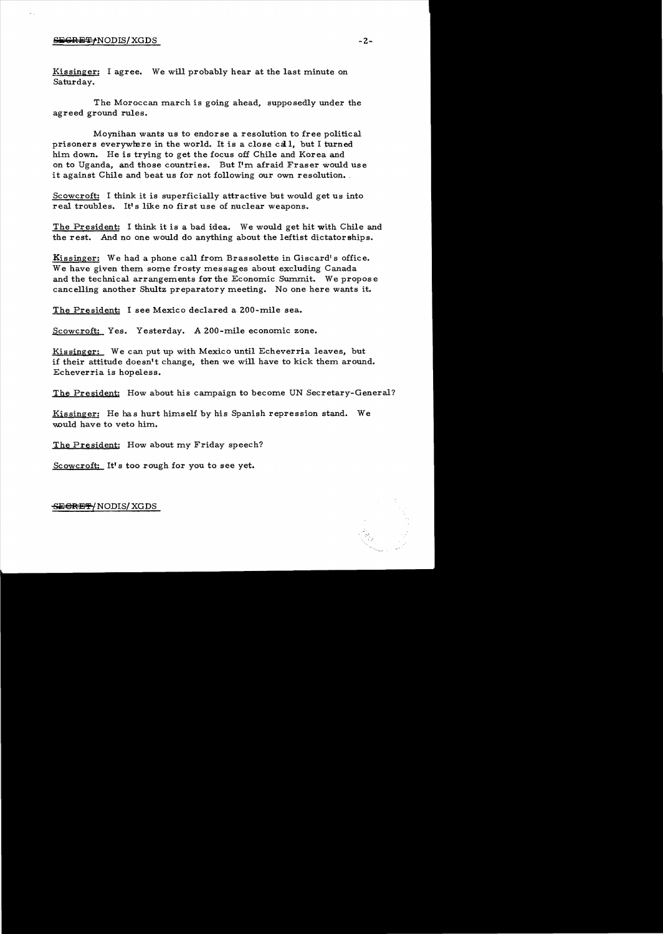## $S$ EGRET  $\neq$  NODIS/ XGDS  $-2$  -

Kissinger: I agree. We will probably hear at the last minute on Saturday.

The Moroccan march is going ahead, supposedly under the agreed ground rules.

Moynihan wants us to endorse a resolution to free political prisoners everywhere in the world. It is a close call, but I turned him down. He is trying to get the focus off Chile and Korea and on to Uganda, and those countries. But I'm afraid Fraser would use it against Chile and beat us for not following our own resolution.

Scowcroft: I think it is superficially attractive but would get us into real troubles. It's like no first use of nuclear weapons.

The President: I think it is a bad idea. We would get hit with Chile and the rest. And no one would do anything about the leftist dictatorships.

Kissinger: We had a phone call from Brassolette in Giscard's office. We have given them some frosty messages about excluding Canada and the technical arrangements for the Economic Summit. We propose cancelling another Shultz preparatory meeting. No one here wants it.

The President: I see Mexico declared a 200-mile sea.

Scowcroft: Yes. Yesterday. A 200-mile economic zone.

Kissinger: We can put up with Mexico until Echeverria leaves, but if their attitude doesn't change, then we will have to kick them around. Echeverria is hopeless.

The President: How about his campaign to become UN Secretary-General?

Kissinger: He has hurt himself by his Spanish repression stand. We would have to veto him.

The President: How about my Friday speech?

Scowcroft: It's too rough for you to see yet.

SECRET/NODIS/XGDS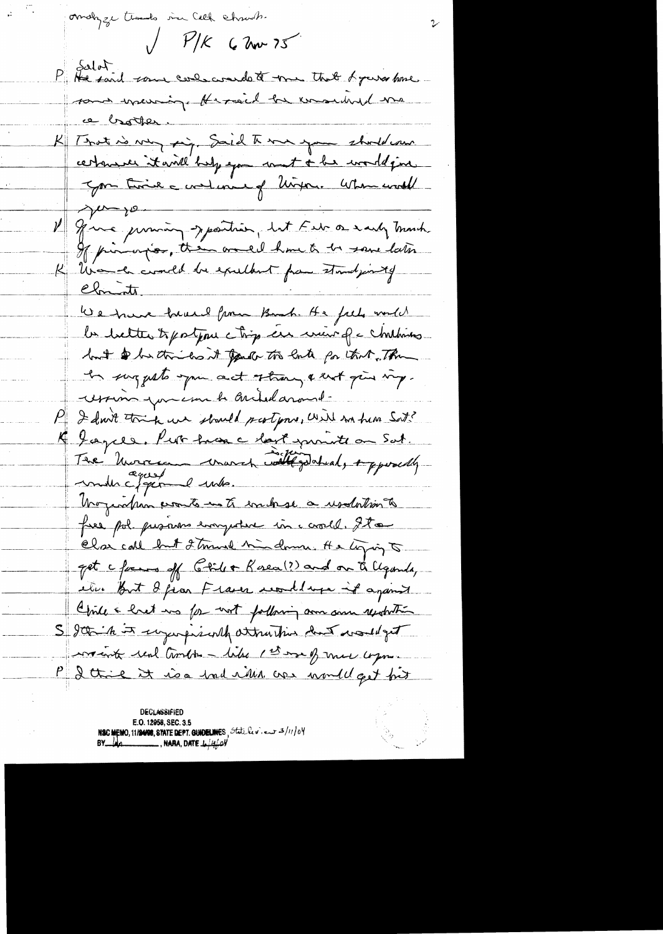omobyze thanks in Call chrowth.  $\sqrt{\frac{P}{K}}$  6 have 75 P He said some condecrande to me that & purs home sont meuring Hermid be ensuine me ce brotter. K Trat is very sig. Said The me you should our certainer it will help you want + he would give Jon time a contenant of Uniform When would ju jo V June princing sportion, let Febr a saily march. If pinorios, then one of home to be save later K Una la could be excellent from standjointy Climits. We trave true from Book. He feels would la bette topotion chip en mor q c chiling but on the los it gave to late for that. The In surgesto you act strong & ust give my. womin you can be archidaround. P I don't trie we should partyone, will no him Soit? K Lagels. Put have chart purite on Sat. Tre Morrison croires illigebral, apposelle Unogendam promto in to evaluase a usalation to free pol pronons everywhere in cavall. It a Clas call but 2 tours hind mind the liging to get c forms off Glill + Rosea (?) and on a Clgorily etur But 8 fiar France undlupe it against Chile & het in for not following som som resolution S good in it sugges juilt attraction dut would get work real timber - like 1st me of more com-P I think it is a had rith over would get fort

**DECLASSIFIED** E.O. 12958, SEC. 3.5 NSC MEMO, 11/24/08, STATE DEPT. GUIDELINES, State lev. en 3/11/04<br>BY LAO